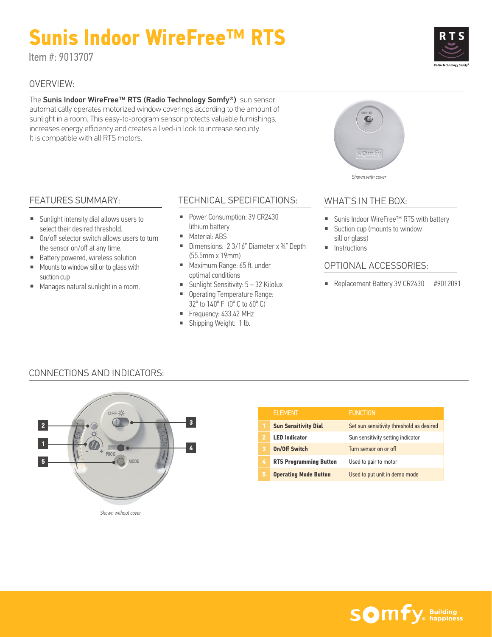# **Sunis Indoor WireFree™ RTS**

Item #: 9013707

### OVERVIEW:

The Sunis Indoor WireFree™ RTS (Radio Technology Somfy®) sun sensor automatically operates motorized window coverings according to the amount of sunlight in a room. This easy-to-program sensor protects valuable furnishings, increases energy efficiency and creates a lived-in look to increase security. It is compatible with all RTS motors.

# FEATURES SUMMARY:

- Sunlight intensity dial allows users to select their desired threshold.
- On/off selector switch allows users to turn the sensor on/off at any time.
- Battery powered, wireless solution
- Mounts to window sill or to glass with suction cup
- Manages natural sunlight in a room.

# TECHNICAL SPECIFICATIONS:

- Power Consumption: 3V CR2430 lithium battery
- Material: ABS
- Dimensions: 2 3/16" Diameter x ¾" Depth (55.5mm x 19mm)
- Maximum Range: 65 ft. under optimal conditions
- Sunlight Sensitivity: 5 32 Kilolux
- Operating Temperature Range: 32º to 140º F (0º C to 60º C)
- Frequency: 433.42 MHz
- Shipping Weight: 1 lb.

# somfy *Shown with cover*

### WHAT'S IN THE BOX:

- Sunis Indoor WireFree™ RTS with battery
- Suction cup (mounts to window sill or glass)
- Instructions

#### OPTIONAL ACCESSORIES:

■ Replacement Battery 3V CR2430 #9012091

# CONNECTIONS AND INDICATORS:



|   | <b>ELEMENT</b>                | <b>FUNCTION</b>                          |
|---|-------------------------------|------------------------------------------|
|   | <b>Sun Sensitivity Dial</b>   | Set sun sensitivity threshold as desired |
| 2 | <b>LED Indicator</b>          | Sun sensitivity setting indicator        |
| 3 | <b>On/Off Switch</b>          | Turn sensor on or off                    |
| 4 | <b>RTS Programming Button</b> | Used to pair to motor                    |
| 5 | <b>Operating Mode Button</b>  | Used to put unit in demo mode            |